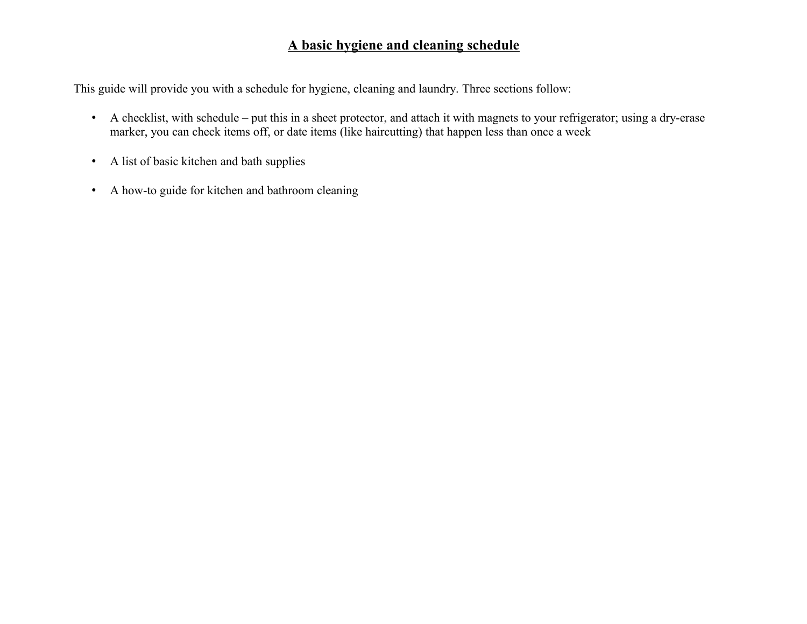# **A basic hygiene and cleaning schedule**

This guide will provide you with a schedule for hygiene, cleaning and laundry. Three sections follow:

- A checklist, with schedule put this in a sheet protector, and attach it with magnets to your refrigerator; using a dry-erase marker, you can check items off, or date items (like haircutting) that happen less than once a week
- A list of basic kitchen and bath supplies
- A how-to guide for kitchen and bathroom cleaning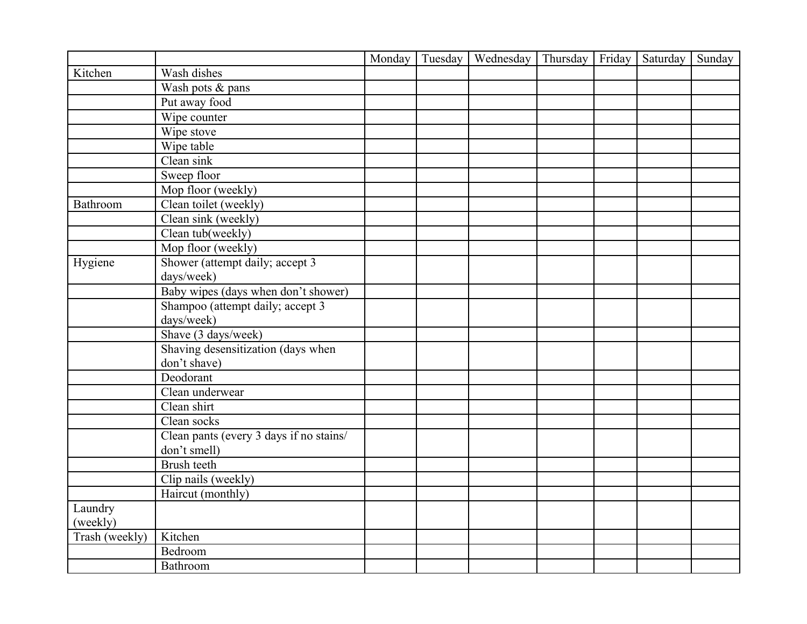|                |                                         | Monday | Tuesday | Wednesday | Thursday | Friday | Saturday | Sunday |
|----------------|-----------------------------------------|--------|---------|-----------|----------|--------|----------|--------|
| Kitchen        | Wash dishes                             |        |         |           |          |        |          |        |
|                | Wash pots & pans                        |        |         |           |          |        |          |        |
|                | Put away food                           |        |         |           |          |        |          |        |
|                | Wipe counter                            |        |         |           |          |        |          |        |
|                | Wipe stove                              |        |         |           |          |        |          |        |
|                | Wipe table                              |        |         |           |          |        |          |        |
|                | Clean sink                              |        |         |           |          |        |          |        |
|                | Sweep floor                             |        |         |           |          |        |          |        |
|                | Mop floor (weekly)                      |        |         |           |          |        |          |        |
| Bathroom       | Clean toilet (weekly)                   |        |         |           |          |        |          |        |
|                | Clean sink (weekly)                     |        |         |           |          |        |          |        |
|                | Clean tub(weekly)                       |        |         |           |          |        |          |        |
|                | Mop floor (weekly)                      |        |         |           |          |        |          |        |
| Hygiene        | Shower (attempt daily; accept 3         |        |         |           |          |        |          |        |
|                | days/week)                              |        |         |           |          |        |          |        |
|                | Baby wipes (days when don't shower)     |        |         |           |          |        |          |        |
|                | Shampoo (attempt daily; accept 3        |        |         |           |          |        |          |        |
|                | days/week)                              |        |         |           |          |        |          |        |
|                | Shave (3 days/week)                     |        |         |           |          |        |          |        |
|                | Shaving desensitization (days when      |        |         |           |          |        |          |        |
|                | don't shave)                            |        |         |           |          |        |          |        |
|                | Deodorant                               |        |         |           |          |        |          |        |
|                | Clean underwear                         |        |         |           |          |        |          |        |
|                | Clean shirt                             |        |         |           |          |        |          |        |
|                | Clean socks                             |        |         |           |          |        |          |        |
|                | Clean pants (every 3 days if no stains/ |        |         |           |          |        |          |        |
|                | don't smell)                            |        |         |           |          |        |          |        |
|                | Brush teeth                             |        |         |           |          |        |          |        |
|                | Clip nails (weekly)                     |        |         |           |          |        |          |        |
|                | Haircut (monthly)                       |        |         |           |          |        |          |        |
| Laundry        |                                         |        |         |           |          |        |          |        |
| (weekly)       |                                         |        |         |           |          |        |          |        |
| Trash (weekly) | Kitchen                                 |        |         |           |          |        |          |        |
|                | Bedroom                                 |        |         |           |          |        |          |        |
|                | Bathroom                                |        |         |           |          |        |          |        |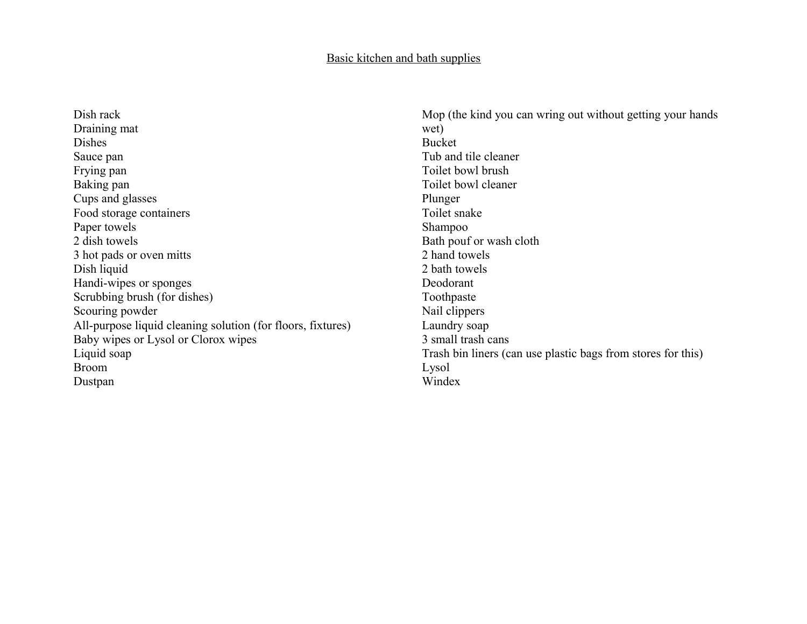#### Basic kitchen and bath supplies

Dish rack Draining mat Dishes Sauce pan Frying pan Baking pan Cups and glasses Food storage containers Paper towels 2 dish towels 3 hot pads or oven mitts Dish liquid Handi-wipes or sponges Scrubbing brush (for dishes) Scouring powder All-purpose liquid cleaning solution (for floors, fixtures) Baby wipes or Lysol or Clorox wipes Liquid soap Broom Dustpan

Mop (the kind you can wring out without getting your hands wet) Bucket Tub and tile cleaner Toilet bowl brush Toilet bowl cleaner Plunger Toilet snake Shampoo Bath pouf or wash cloth 2 hand towels 2 bath towels Deodorant Toothpaste Nail clippers Laundry soap 3 small trash cans Trash bin liners (can use plastic bags from stores for this) Lysol Windex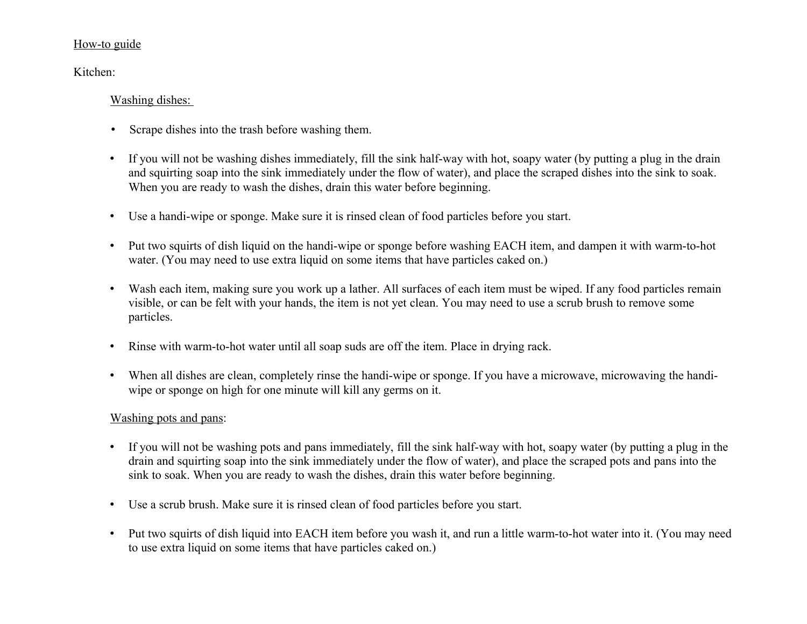#### How-to guide

Kitchen:

## Washing dishes:

- Scrape dishes into the trash before washing them.
- If you will not be washing dishes immediately, fill the sink half-way with hot, soapy water (by putting a plug in the drain and squirting soap into the sink immediately under the flow of water), and place the scraped dishes into the sink to soak. When you are ready to wash the dishes, drain this water before beginning.
- Use a handi-wipe or sponge. Make sure it is rinsed clean of food particles before you start.
- Put two squirts of dish liquid on the handi-wipe or sponge before washing EACH item, and dampen it with warm-to-hot water. (You may need to use extra liquid on some items that have particles caked on.)
- Wash each item, making sure you work up a lather. All surfaces of each item must be wiped. If any food particles remain visible, or can be felt with your hands, the item is not yet clean. You may need to use a scrub brush to remove some particles.
- Rinse with warm-to-hot water until all soap suds are off the item. Place in drying rack.
- When all dishes are clean, completely rinse the handi-wipe or sponge. If you have a microwave, microwaving the handiwipe or sponge on high for one minute will kill any germs on it.

# Washing pots and pans:

- If you will not be washing pots and pans immediately, fill the sink half-way with hot, soapy water (by putting a plug in the drain and squirting soap into the sink immediately under the flow of water), and place the scraped pots and pans into the sink to soak. When you are ready to wash the dishes, drain this water before beginning.
- Use a scrub brush. Make sure it is rinsed clean of food particles before you start.
- Put two squirts of dish liquid into EACH item before you wash it, and run a little warm-to-hot water into it. (You may need to use extra liquid on some items that have particles caked on.)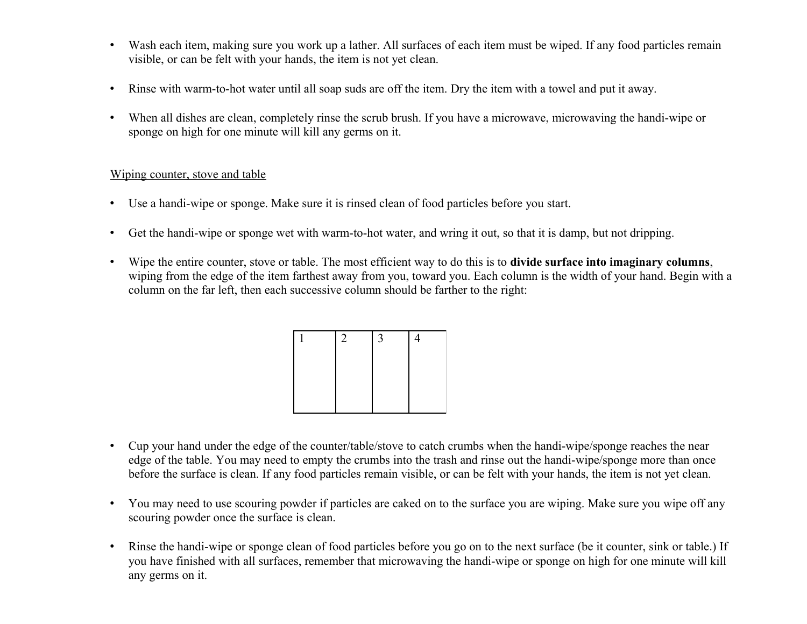- Wash each item, making sure you work up a lather. All surfaces of each item must be wiped. If any food particles remain visible, or can be felt with your hands, the item is not yet clean.
- Rinse with warm-to-hot water until all soap suds are off the item. Dry the item with a towel and put it away.
- When all dishes are clean, completely rinse the scrub brush. If you have a microwave, microwaving the handi-wipe or sponge on high for one minute will kill any germs on it.

#### Wiping counter, stove and table

- Use a handi-wipe or sponge. Make sure it is rinsed clean of food particles before you start.
- Get the handi-wipe or sponge wet with warm-to-hot water, and wring it out, so that it is damp, but not dripping.
- Wipe the entire counter, stove or table. The most efficient way to do this is to **divide surface into imaginary columns**, wiping from the edge of the item farthest away from you, toward you. Each column is the width of your hand. Begin with a column on the far left, then each successive column should be farther to the right:

| 2 | 3 |  |
|---|---|--|
|   |   |  |
|   |   |  |
|   |   |  |

- Cup your hand under the edge of the counter/table/stove to catch crumbs when the handi-wipe/sponge reaches the near edge of the table. You may need to empty the crumbs into the trash and rinse out the handi-wipe/sponge more than once before the surface is clean. If any food particles remain visible, or can be felt with your hands, the item is not yet clean.
- You may need to use scouring powder if particles are caked on to the surface you are wiping. Make sure you wipe off any scouring powder once the surface is clean.
- Rinse the handi-wipe or sponge clean of food particles before you go on to the next surface (be it counter, sink or table.) If you have finished with all surfaces, remember that microwaving the handi-wipe or sponge on high for one minute will kill any germs on it.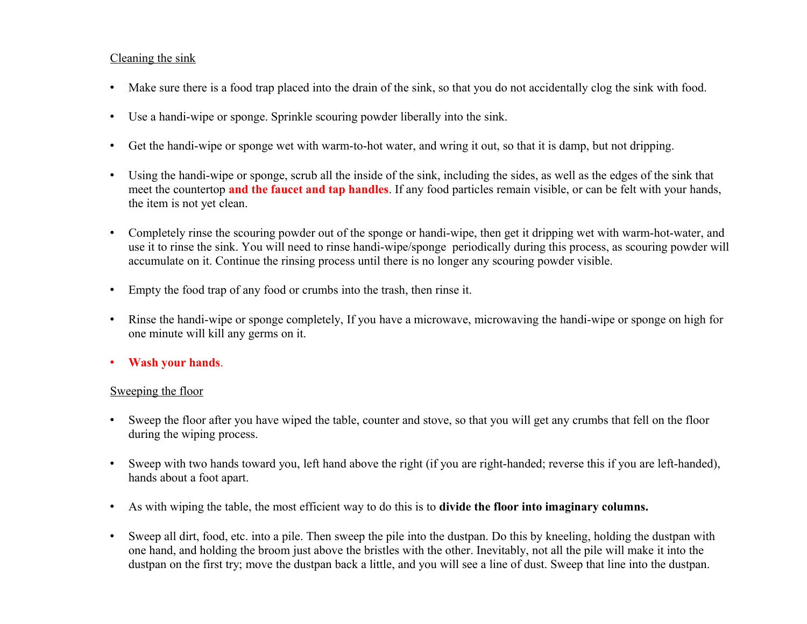## Cleaning the sink

- Make sure there is a food trap placed into the drain of the sink, so that you do not accidentally clog the sink with food.
- Use a handi-wipe or sponge. Sprinkle scouring powder liberally into the sink.
- Get the handi-wipe or sponge wet with warm-to-hot water, and wring it out, so that it is damp, but not dripping.
- Using the handi-wipe or sponge, scrub all the inside of the sink, including the sides, as well as the edges of the sink that meet the countertop **and the faucet and tap handles**. If any food particles remain visible, or can be felt with your hands, the item is not yet clean.
- Completely rinse the scouring powder out of the sponge or handi-wipe, then get it dripping wet with warm-hot-water, and use it to rinse the sink. You will need to rinse handi-wipe/sponge periodically during this process, as scouring powder will accumulate on it. Continue the rinsing process until there is no longer any scouring powder visible.
- Empty the food trap of any food or crumbs into the trash, then rinse it.
- Rinse the handi-wipe or sponge completely, If you have a microwave, microwaving the handi-wipe or sponge on high for one minute will kill any germs on it.
- **Wash your hands**.

## Sweeping the floor

- Sweep the floor after you have wiped the table, counter and stove, so that you will get any crumbs that fell on the floor during the wiping process.
- Sweep with two hands toward you, left hand above the right (if you are right-handed; reverse this if you are left-handed), hands about a foot apart.
- As with wiping the table, the most efficient way to do this is to **divide the floor into imaginary columns.**
- Sweep all dirt, food, etc. into a pile. Then sweep the pile into the dustpan. Do this by kneeling, holding the dustpan with one hand, and holding the broom just above the bristles with the other. Inevitably, not all the pile will make it into the dustpan on the first try; move the dustpan back a little, and you will see a line of dust. Sweep that line into the dustpan.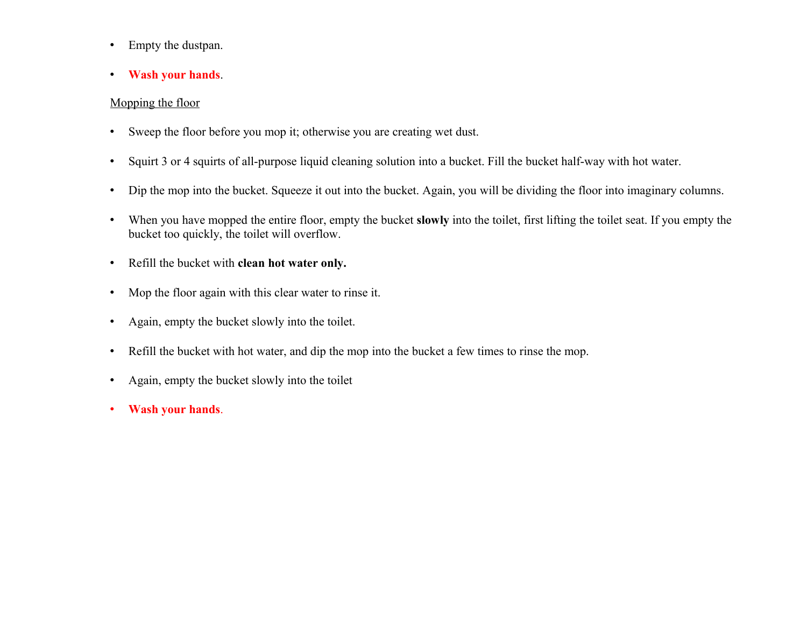- Empty the dustpan.
- **Wash your hands**.

## Mopping the floor

- Sweep the floor before you mop it; otherwise you are creating wet dust.
- Squirt 3 or 4 squirts of all-purpose liquid cleaning solution into a bucket. Fill the bucket half-way with hot water.
- Dip the mop into the bucket. Squeeze it out into the bucket. Again, you will be dividing the floor into imaginary columns.
- When you have mopped the entire floor, empty the bucket **slowly** into the toilet, first lifting the toilet seat. If you empty the bucket too quickly, the toilet will overflow.
- Refill the bucket with **clean hot water only.**
- Mop the floor again with this clear water to rinse it.
- Again, empty the bucket slowly into the toilet.
- Refill the bucket with hot water, and dip the mop into the bucket a few times to rinse the mop.
- Again, empty the bucket slowly into the toilet
- **Wash your hands**.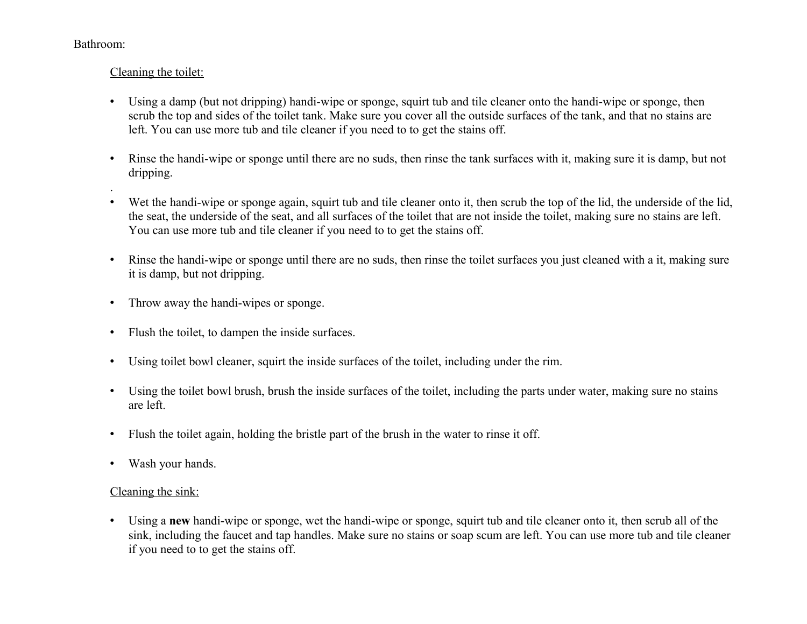#### Bathroom:

# Cleaning the toilet:

- Using a damp (but not dripping) handi-wipe or sponge, squirt tub and tile cleaner onto the handi-wipe or sponge, then scrub the top and sides of the toilet tank. Make sure you cover all the outside surfaces of the tank, and that no stains are left. You can use more tub and tile cleaner if you need to to get the stains off.
- Rinse the handi-wipe or sponge until there are no suds, then rinse the tank surfaces with it, making sure it is damp, but not dripping. .
- Wet the handi-wipe or sponge again, squirt tub and tile cleaner onto it, then scrub the top of the lid, the underside of the lid, the seat, the underside of the seat, and all surfaces of the toilet that are not inside the toilet, making sure no stains are left. You can use more tub and tile cleaner if you need to to get the stains off.
- Rinse the handi-wipe or sponge until there are no suds, then rinse the toilet surfaces you just cleaned with a it, making sure it is damp, but not dripping.
- Throw away the handi-wipes or sponge.
- Flush the toilet, to dampen the inside surfaces.
- Using toilet bowl cleaner, squirt the inside surfaces of the toilet, including under the rim.
- Using the toilet bowl brush, brush the inside surfaces of the toilet, including the parts under water, making sure no stains are left.
- Flush the toilet again, holding the bristle part of the brush in the water to rinse it off.
- Wash your hands.

# Cleaning the sink:

• Using a **new** handi-wipe or sponge, wet the handi-wipe or sponge, squirt tub and tile cleaner onto it, then scrub all of the sink, including the faucet and tap handles. Make sure no stains or soap scum are left. You can use more tub and tile cleaner if you need to to get the stains off.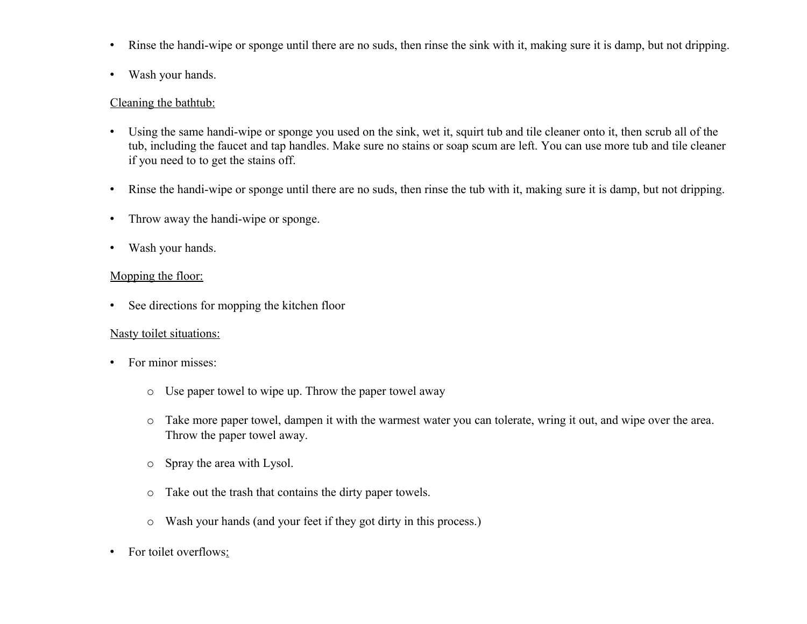- Rinse the handi-wipe or sponge until there are no suds, then rinse the sink with it, making sure it is damp, but not dripping.
- Wash your hands.

#### Cleaning the bathtub:

- Using the same handi-wipe or sponge you used on the sink, wet it, squirt tub and tile cleaner onto it, then scrub all of the tub, including the faucet and tap handles. Make sure no stains or soap scum are left. You can use more tub and tile cleaner if you need to to get the stains off.
- Rinse the handi-wipe or sponge until there are no suds, then rinse the tub with it, making sure it is damp, but not dripping.
- Throw away the handi-wipe or sponge.
- Wash your hands.

# Mopping the floor:

• See directions for mopping the kitchen floor

## Nasty toilet situations:

- For minor misses:
	- o Use paper towel to wipe up. Throw the paper towel away
	- o Take more paper towel, dampen it with the warmest water you can tolerate, wring it out, and wipe over the area. Throw the paper towel away.
	- o Spray the area with Lysol.
	- o Take out the trash that contains the dirty paper towels.
	- o Wash your hands (and your feet if they got dirty in this process.)
- For toilet overflows: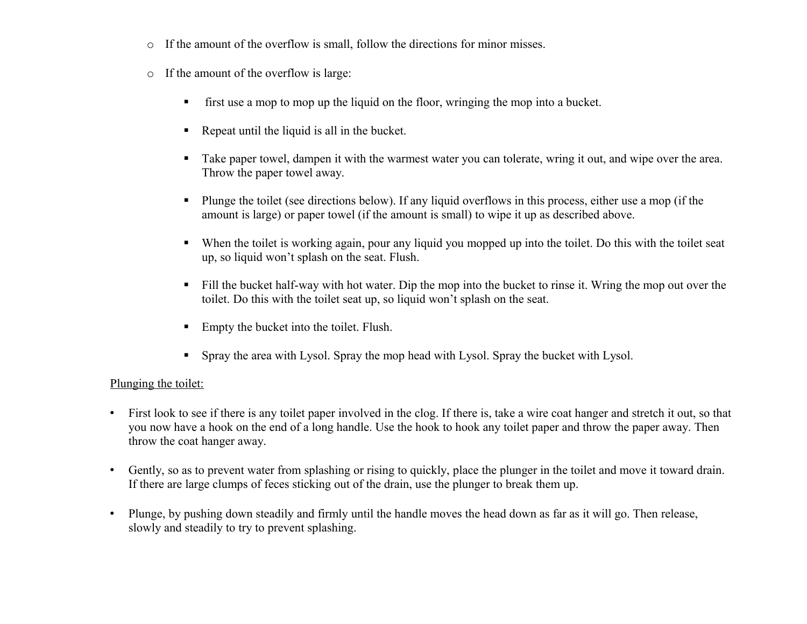- o If the amount of the overflow is small, follow the directions for minor misses.
- o If the amount of the overflow is large:
	- first use a mop to mop up the liquid on the floor, wringing the mop into a bucket.
	- Repeat until the liquid is all in the bucket.
	- Take paper towel, dampen it with the warmest water you can tolerate, wring it out, and wipe over the area. Throw the paper towel away.
	- **Plunge the toilet (see directions below).** If any liquid overflows in this process, either use a mop (if the amount is large) or paper towel (if the amount is small) to wipe it up as described above.
	- When the toilet is working again, pour any liquid you mopped up into the toilet. Do this with the toilet seat up, so liquid won't splash on the seat. Flush.
	- Fill the bucket half-way with hot water. Dip the mop into the bucket to rinse it. Wring the mop out over the toilet. Do this with the toilet seat up, so liquid won't splash on the seat.
	- Empty the bucket into the toilet. Flush.
	- Spray the area with Lysol. Spray the mop head with Lysol. Spray the bucket with Lysol.

## Plunging the toilet:

- First look to see if there is any toilet paper involved in the clog. If there is, take a wire coat hanger and stretch it out, so that you now have a hook on the end of a long handle. Use the hook to hook any toilet paper and throw the paper away. Then throw the coat hanger away.
- Gently, so as to prevent water from splashing or rising to quickly, place the plunger in the toilet and move it toward drain. If there are large clumps of feces sticking out of the drain, use the plunger to break them up.
- Plunge, by pushing down steadily and firmly until the handle moves the head down as far as it will go. Then release, slowly and steadily to try to prevent splashing.